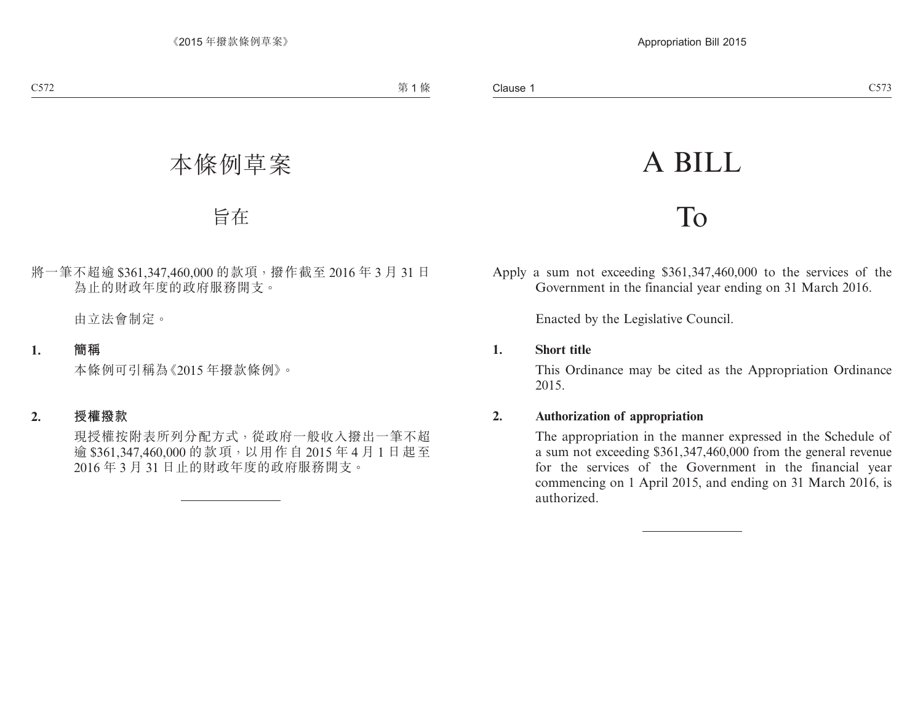# A BILL

## To

Apply a sum not exceeding \$361,347,460,000 to the services of the Government in the financial year ending on 31 March 2016.

Enacted by the Legislative Council.

#### **1. Short title**

This Ordinance may be cited as the Appropriation Ordinance 2015.

#### **2. Authorization of appropriation**

The appropriation in the manner expressed in the Schedule of a sum not exceeding \$361,347,460,000 from the general revenue for the services of the Government in the financial year commencing on 1 April 2015, and ending on 31 March 2016, is authorized.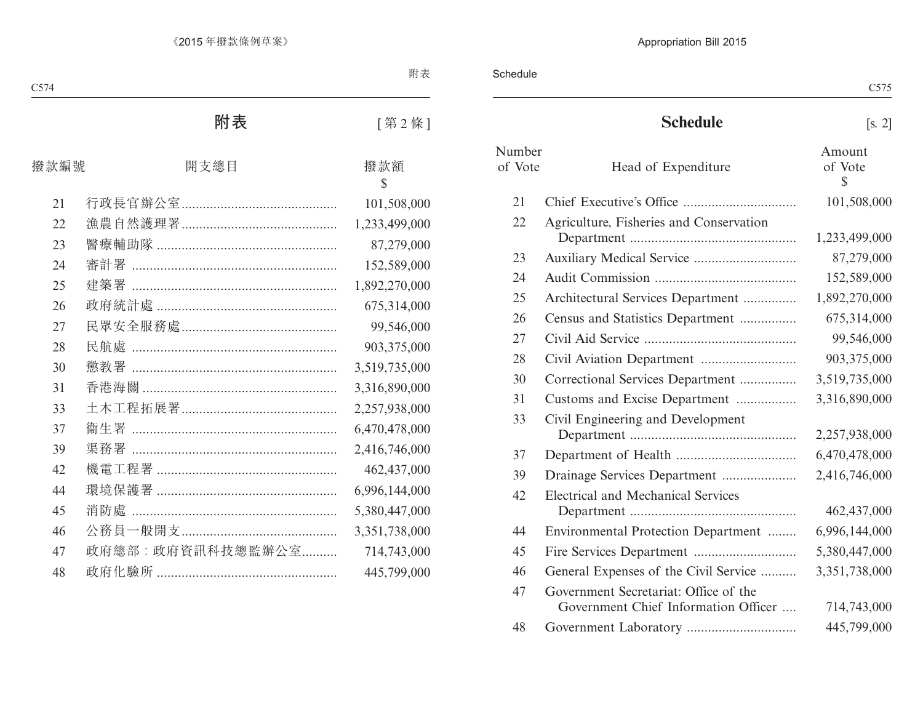Schedule

### **Schedule** [s. 2]

| Number<br>of Vote | Head of Expenditure                                                           | Amount<br>of Vote<br>\$ |
|-------------------|-------------------------------------------------------------------------------|-------------------------|
| 21                |                                                                               | 101,508,000             |
| 22                | Agriculture, Fisheries and Conservation                                       | 1,233,499,000           |
| 23                |                                                                               | 87,279,000              |
| 24                |                                                                               | 152,589,000             |
| 25                | Architectural Services Department                                             | 1,892,270,000           |
| 26                | Census and Statistics Department                                              | 675,314,000             |
| 27                |                                                                               | 99,546,000              |
| 28                |                                                                               | 903,375,000             |
| 30                | Correctional Services Department                                              | 3,519,735,000           |
| 31                | Customs and Excise Department                                                 | 3,316,890,000           |
| 33                | Civil Engineering and Development                                             | 2,257,938,000           |
| 37                |                                                                               | 6,470,478,000           |
| 39                | Drainage Services Department                                                  | 2,416,746,000           |
| 42                | <b>Electrical and Mechanical Services</b>                                     | 462,437,000             |
| 44                | Environmental Protection Department                                           | 6,996,144,000           |
| 45                |                                                                               | 5,380,447,000           |
| 46                | General Expenses of the Civil Service                                         | 3,351,738,000           |
| 47                | Government Secretariat: Office of the<br>Government Chief Information Officer | 714,743,000             |
| 48                |                                                                               | 445,799,000             |
|                   |                                                                               |                         |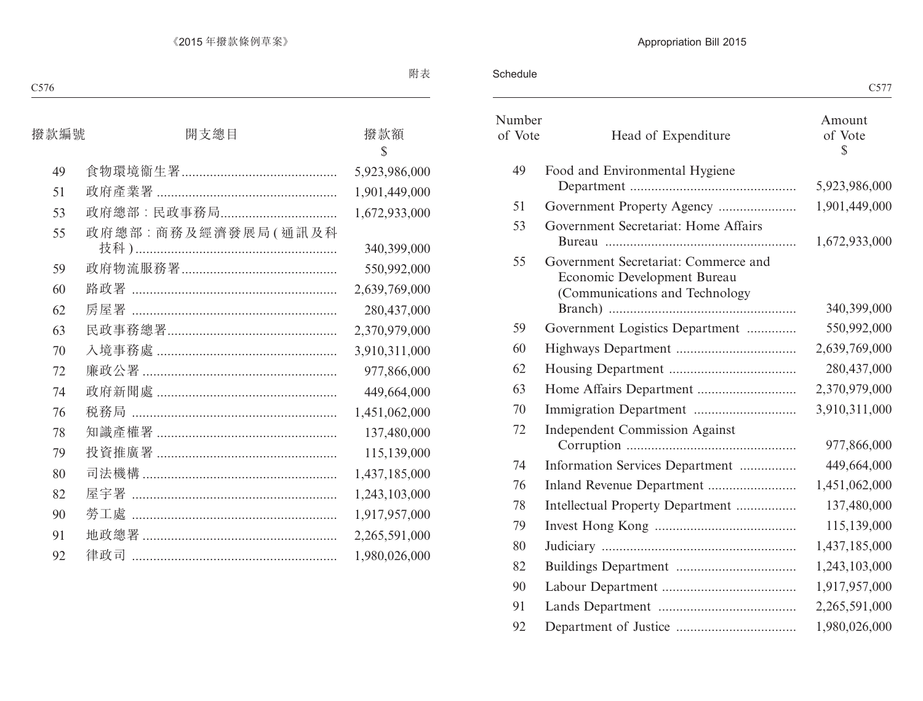#### Schedule

|                   |                                                                                                       | $\mathcal{L}$ ) / /     |
|-------------------|-------------------------------------------------------------------------------------------------------|-------------------------|
| Number<br>of Vote | Head of Expenditure                                                                                   | Amount<br>of Vote<br>\$ |
| 49                | Food and Environmental Hygiene                                                                        |                         |
|                   |                                                                                                       | 5,923,986,000           |
| 51                | Government Property Agency                                                                            | 1,901,449,000           |
| 53                | Government Secretariat: Home Affairs                                                                  | 1,672,933,000           |
| 55                | Government Secretariat: Commerce and<br>Economic Development Bureau<br>(Communications and Technology | 340,399,000             |
| 59                | Government Logistics Department                                                                       | 550,992,000             |
| 60                |                                                                                                       | 2,639,769,000           |
| 62                |                                                                                                       | 280,437,000             |
| 63                |                                                                                                       | 2,370,979,000           |
| 70                |                                                                                                       | 3,910,311,000           |
| 72                | <b>Independent Commission Against</b>                                                                 | 977,866,000             |
| 74                | Information Services Department                                                                       | 449,664,000             |
| 76                | Inland Revenue Department                                                                             | 1,451,062,000           |
| 78                | Intellectual Property Department                                                                      | 137,480,000             |
| 79                |                                                                                                       | 115,139,000             |
| 80                |                                                                                                       | 1,437,185,000           |
| 82                |                                                                                                       | 1,243,103,000           |
| 90                |                                                                                                       | 1,917,957,000           |
| 91                |                                                                                                       | 2,265,591,000           |
| 92                |                                                                                                       | 1,980,026,000           |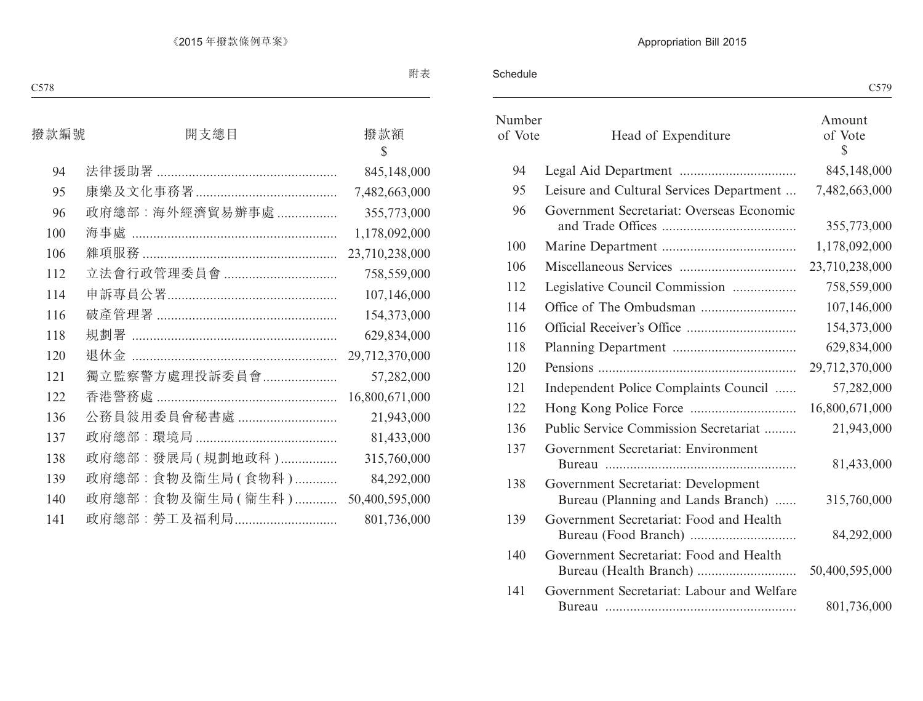Schedule

|                   |                                                                           | C579                              |
|-------------------|---------------------------------------------------------------------------|-----------------------------------|
| Number<br>of Vote | Head of Expenditure                                                       | Amount<br>of Vote<br>$\mathbb{S}$ |
| 94                |                                                                           | 845,148,000                       |
| 95                | Leisure and Cultural Services Department                                  | 7,482,663,000                     |
| 96                | Government Secretariat: Overseas Economic                                 | 355,773,000                       |
| 100               |                                                                           | 1,178,092,000                     |
| 106               |                                                                           | 23,710,238,000                    |
| 112               | Legislative Council Commission                                            | 758,559,000                       |
| 114               |                                                                           | 107,146,000                       |
| 116               |                                                                           | 154,373,000                       |
| 118               |                                                                           | 629,834,000                       |
| 120               |                                                                           | 29,712,370,000                    |
| 121               | Independent Police Complaints Council                                     | 57,282,000                        |
| 122               |                                                                           | 16,800,671,000                    |
| 136               | Public Service Commission Secretariat                                     | 21,943,000                        |
| 137               | Government Secretariat: Environment                                       | 81,433,000                        |
| 138               | Government Secretariat: Development<br>Bureau (Planning and Lands Branch) | 315,760,000                       |
| 139               | Government Secretariat: Food and Health                                   | 84,292,000                        |
| 140               | Government Secretariat: Food and Health                                   | 50,400,595,000                    |
| 141               | Government Secretariat: Labour and Welfare                                | 801,736,000                       |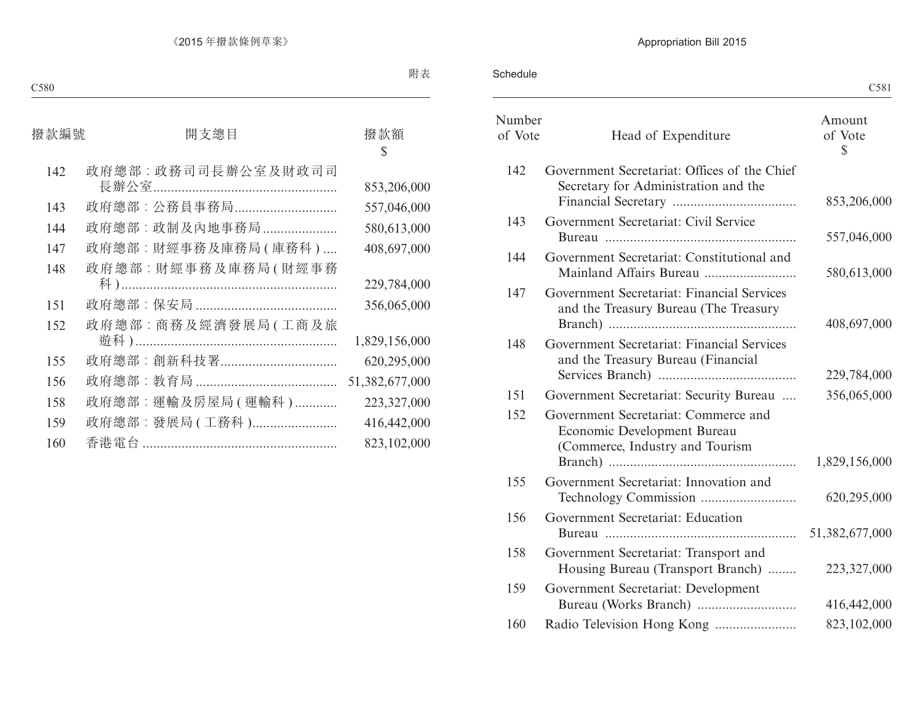Schedule

|                   |                                                                                                        | C581                    |
|-------------------|--------------------------------------------------------------------------------------------------------|-------------------------|
| Number<br>of Vote | Head of Expenditure                                                                                    | Amount<br>of Vote<br>\$ |
| 142               | Government Secretariat: Offices of the Chief<br>Secretary for Administration and the                   | 853,206,000             |
| 143               | Government Secretariat: Civil Service                                                                  | 557,046,000             |
| 144               | Government Secretariat: Constitutional and<br>Mainland Affairs Bureau                                  | 580,613,000             |
| 147               | Government Secretariat: Financial Services<br>and the Treasury Bureau (The Treasury                    | 408,697,000             |
| 148               | Government Secretariat: Financial Services<br>and the Treasury Bureau (Financial                       | 229,784,000             |
| 151               | Government Secretariat: Security Bureau                                                                | 356,065,000             |
| 152               | Government Secretariat: Commerce and<br>Economic Development Bureau<br>(Commerce, Industry and Tourism | 1,829,156,000           |
| 155               | Government Secretariat: Innovation and                                                                 | 620,295,000             |
| 156               | Government Secretariat: Education                                                                      | 51,382,677,000          |
| 158               | Government Secretariat: Transport and<br>Housing Bureau (Transport Branch)                             | 223,327,000             |
| 159               | Government Secretariat: Development                                                                    | 416,442,000             |
| 160               |                                                                                                        | 823,102,000             |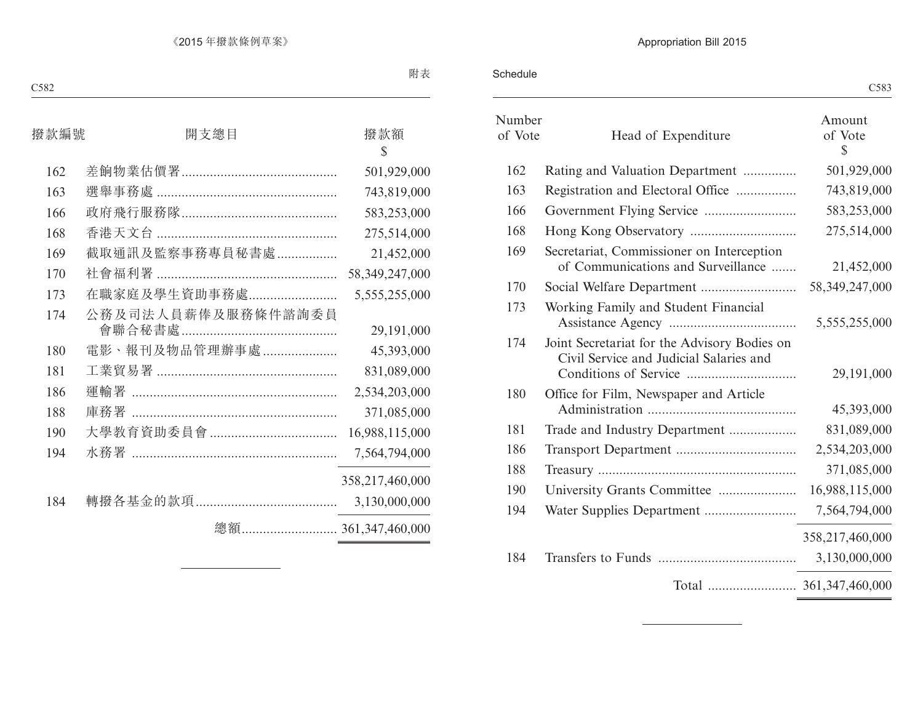Schedule

| Number<br>of Vote | Head of Expenditure                                                                     | Amount<br>of Vote<br>$\mathbb{S}$ |
|-------------------|-----------------------------------------------------------------------------------------|-----------------------------------|
| 162               | Rating and Valuation Department                                                         | 501,929,000                       |
| 163               | Registration and Electoral Office                                                       | 743,819,000                       |
| 166               |                                                                                         | 583,253,000                       |
| 168               |                                                                                         | 275,514,000                       |
| 169               | Secretariat, Commissioner on Interception<br>of Communications and Surveillance         | 21,452,000                        |
| 170               |                                                                                         | 58, 349, 247, 000                 |
| 173               | Working Family and Student Financial                                                    | 5,555,255,000                     |
| 174               | Joint Secretariat for the Advisory Bodies on<br>Civil Service and Judicial Salaries and | 29,191,000                        |
| 180               | Office for Film, Newspaper and Article                                                  | 45,393,000                        |
| 181               | Trade and Industry Department                                                           | 831,089,000                       |
| 186               |                                                                                         | 2,534,203,000                     |
| 188               |                                                                                         | 371,085,000                       |
| 190               | University Grants Committee                                                             | 16,988,115,000                    |
| 194               |                                                                                         | 7,564,794,000                     |
| 184               |                                                                                         | 358,217,460,000<br>3,130,000,000  |
|                   |                                                                                         |                                   |
|                   |                                                                                         |                                   |

<u> 1989 - Johann Barbara, martxa alemani</u>ar a

 $\overline{a}$